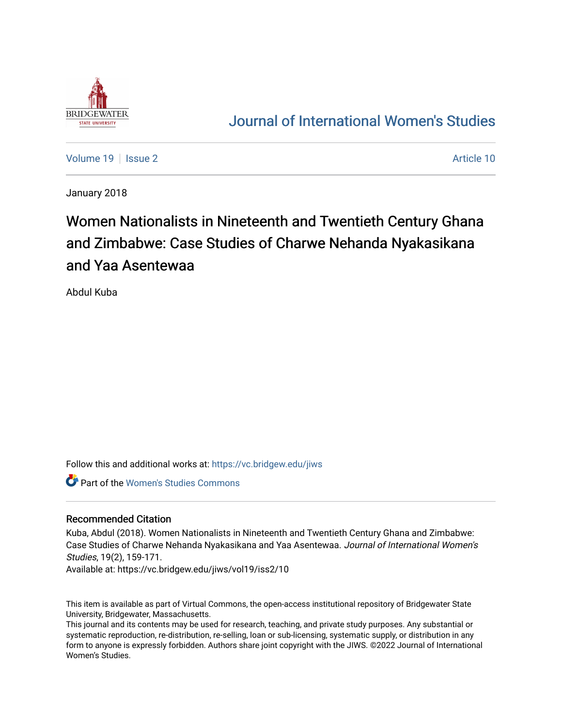

# [Journal of International Women's Studies](https://vc.bridgew.edu/jiws)

[Volume 19](https://vc.bridgew.edu/jiws/vol19) | [Issue 2](https://vc.bridgew.edu/jiws/vol19/iss2) Article 10

January 2018

# Women Nationalists in Nineteenth and Twentieth Century Ghana and Zimbabwe: Case Studies of Charwe Nehanda Nyakasikana and Yaa Asentewaa

Abdul Kuba

Follow this and additional works at: [https://vc.bridgew.edu/jiws](https://vc.bridgew.edu/jiws?utm_source=vc.bridgew.edu%2Fjiws%2Fvol19%2Fiss2%2F10&utm_medium=PDF&utm_campaign=PDFCoverPages)

**Part of the Women's Studies Commons** 

#### Recommended Citation

Kuba, Abdul (2018). Women Nationalists in Nineteenth and Twentieth Century Ghana and Zimbabwe: Case Studies of Charwe Nehanda Nyakasikana and Yaa Asentewaa. Journal of International Women's Studies, 19(2), 159-171.

Available at: https://vc.bridgew.edu/jiws/vol19/iss2/10

This item is available as part of Virtual Commons, the open-access institutional repository of Bridgewater State University, Bridgewater, Massachusetts.

This journal and its contents may be used for research, teaching, and private study purposes. Any substantial or systematic reproduction, re-distribution, re-selling, loan or sub-licensing, systematic supply, or distribution in any form to anyone is expressly forbidden. Authors share joint copyright with the JIWS. ©2022 Journal of International Women's Studies.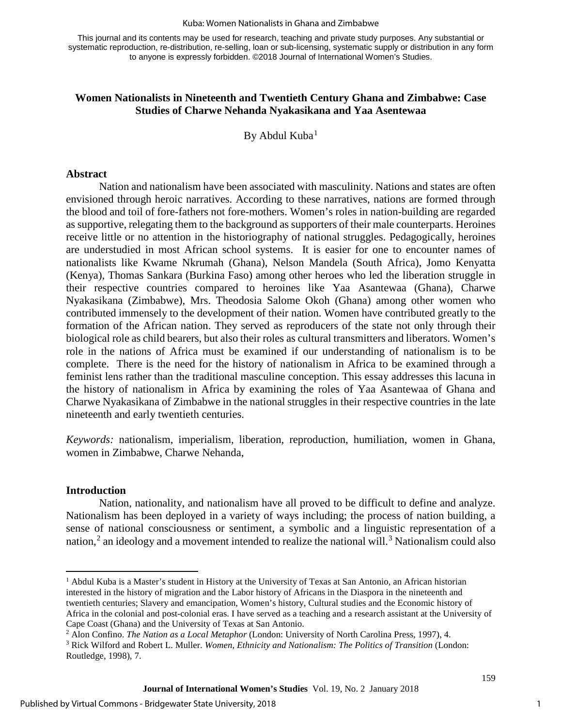#### Kuba: Women Nationalists in Ghana and Zimbabwe

This journal and its contents may be used for research, teaching and private study purposes. Any substantial or systematic reproduction, re-distribution, re-selling, loan or sub-licensing, systematic supply or distribution in any form to anyone is expressly forbidden. ©2018 Journal of International Women's Studies.

# **Women Nationalists in Nineteenth and Twentieth Century Ghana and Zimbabwe: Case Studies of Charwe Nehanda Nyakasikana and Yaa Asentewaa**

By Abdul Kuba<sup>[1](#page-1-0)</sup>

#### **Abstract**

Nation and nationalism have been associated with masculinity. Nations and states are often envisioned through heroic narratives. According to these narratives, nations are formed through the blood and toil of fore-fathers not fore-mothers. Women's roles in nation-building are regarded as supportive, relegating them to the background as supporters of their male counterparts. Heroines receive little or no attention in the historiography of national struggles. Pedagogically, heroines are understudied in most African school systems. It is easier for one to encounter names of nationalists like Kwame Nkrumah (Ghana), Nelson Mandela (South Africa), Jomo Kenyatta (Kenya), Thomas Sankara (Burkina Faso) among other heroes who led the liberation struggle in their respective countries compared to heroines like Yaa Asantewaa (Ghana), Charwe Nyakasikana (Zimbabwe), Mrs. Theodosia Salome Okoh (Ghana) among other women who contributed immensely to the development of their nation. Women have contributed greatly to the formation of the African nation. They served as reproducers of the state not only through their biological role as child bearers, but also their roles as cultural transmitters and liberators. Women's role in the nations of Africa must be examined if our understanding of nationalism is to be complete. There is the need for the history of nationalism in Africa to be examined through a feminist lens rather than the traditional masculine conception. This essay addresses this lacuna in the history of nationalism in Africa by examining the roles of Yaa Asantewaa of Ghana and Charwe Nyakasikana of Zimbabwe in the national struggles in their respective countries in the late nineteenth and early twentieth centuries.

*Keywords:* nationalism, imperialism, liberation, reproduction, humiliation, women in Ghana, women in Zimbabwe, Charwe Nehanda,

#### **Introduction**

l

Nation, nationality, and nationalism have all proved to be difficult to define and analyze. Nationalism has been deployed in a variety of ways including; the process of nation building, a sense of national consciousness or sentiment, a symbolic and a linguistic representation of a nation,<sup>[2](#page-1-1)</sup> an ideology and a movement intended to realize the national will.<sup>[3](#page-1-2)</sup> Nationalism could also

<span id="page-1-0"></span><sup>1</sup> Abdul Kuba is a Master's student in History at the University of Texas at San Antonio, an African historian interested in the history of migration and the Labor history of Africans in the Diaspora in the nineteenth and twentieth centuries; Slavery and emancipation, Women's history, Cultural studies and the Economic history of Africa in the colonial and post-colonial eras. I have served as a teaching and a research assistant at the University of Cape Coast (Ghana) and the University of Texas at San Antonio.<br><sup>2</sup> Alon Confino. *The Nation as a Local Metaphor* (London: University of North Carolina Press, 1997), 4.<br><sup>3</sup> Rick Wilford and Robert L. Muller. *Women, Ethnic* 

<span id="page-1-2"></span><span id="page-1-1"></span>Routledge, 1998), 7.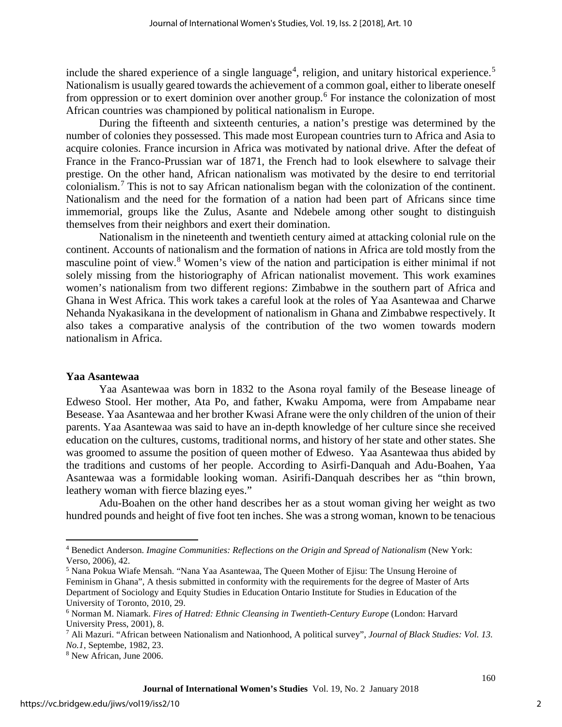include the shared experience of a single language<sup>[4](#page-2-0)</sup>, religion, and unitary historical experience.<sup>[5](#page-2-1)</sup> Nationalism is usually geared towards the achievement of a common goal, either to liberate oneself from oppression or to exert dominion over another group.<sup>[6](#page-2-2)</sup> For instance the colonization of most African countries was championed by political nationalism in Europe.

During the fifteenth and sixteenth centuries, a nation's prestige was determined by the number of colonies they possessed. This made most European countries turn to Africa and Asia to acquire colonies. France incursion in Africa was motivated by national drive. After the defeat of France in the Franco-Prussian war of 1871, the French had to look elsewhere to salvage their prestige. On the other hand, African nationalism was motivated by the desire to end territorial colonialism.[7](#page-2-3) This is not to say African nationalism began with the colonization of the continent. Nationalism and the need for the formation of a nation had been part of Africans since time immemorial, groups like the Zulus, Asante and Ndebele among other sought to distinguish themselves from their neighbors and exert their domination.

Nationalism in the nineteenth and twentieth century aimed at attacking colonial rule on the continent. Accounts of nationalism and the formation of nations in Africa are told mostly from the masculine point of view.[8](#page-2-4) Women's view of the nation and participation is either minimal if not solely missing from the historiography of African nationalist movement. This work examines women's nationalism from two different regions: Zimbabwe in the southern part of Africa and Ghana in West Africa. This work takes a careful look at the roles of Yaa Asantewaa and Charwe Nehanda Nyakasikana in the development of nationalism in Ghana and Zimbabwe respectively. It also takes a comparative analysis of the contribution of the two women towards modern nationalism in Africa.

# **Yaa Asantewaa**

Yaa Asantewaa was born in 1832 to the Asona royal family of the Besease lineage of Edweso Stool. Her mother, Ata Po, and father, Kwaku Ampoma, were from Ampabame near Besease. Yaa Asantewaa and her brother Kwasi Afrane were the only children of the union of their parents. Yaa Asantewaa was said to have an in-depth knowledge of her culture since she received education on the cultures, customs, traditional norms, and history of her state and other states. She was groomed to assume the position of queen mother of Edweso. Yaa Asantewaa thus abided by the traditions and customs of her people. According to Asirfi-Danquah and Adu-Boahen, Yaa Asantewaa was a formidable looking woman. Asirifi-Danquah describes her as "thin brown, leathery woman with fierce blazing eyes."

Adu-Boahen on the other hand describes her as a stout woman giving her weight as two hundred pounds and height of five foot ten inches. She was a strong woman, known to be tenacious

 $\overline{\phantom{a}}$ 

<span id="page-2-0"></span><sup>4</sup> Benedict Anderson. *Imagine Communities: Reflections on the Origin and Spread of Nationalism* (New York: Verso, 2006), 42.<br><sup>5</sup> Nana Pokua Wiafe Mensah. "Nana Yaa Asantewaa, The Queen Mother of Ejisu: The Unsung Heroine of

<span id="page-2-1"></span>Feminism in Ghana", A thesis submitted in conformity with the requirements for the degree of Master of Arts Department of Sociology and Equity Studies in Education Ontario Institute for Studies in Education of the University of Toronto, 2010, 29.<br><sup>6</sup> Norman M. Niamark. *Fires of Hatred: Ethnic Cleansing in Twentieth-Century Europe* (London: Harvard

<span id="page-2-3"></span><span id="page-2-2"></span>University Press, 2001), 8.<br><sup>7</sup> Ali Mazuri. "African between Nationalism and Nationhood, A political survey", *Journal of Black Studies: Vol. 13.*<br>*No.1*, Septembe, 1982, 23.

<span id="page-2-4"></span><sup>&</sup>lt;sup>8</sup> New African, June 2006.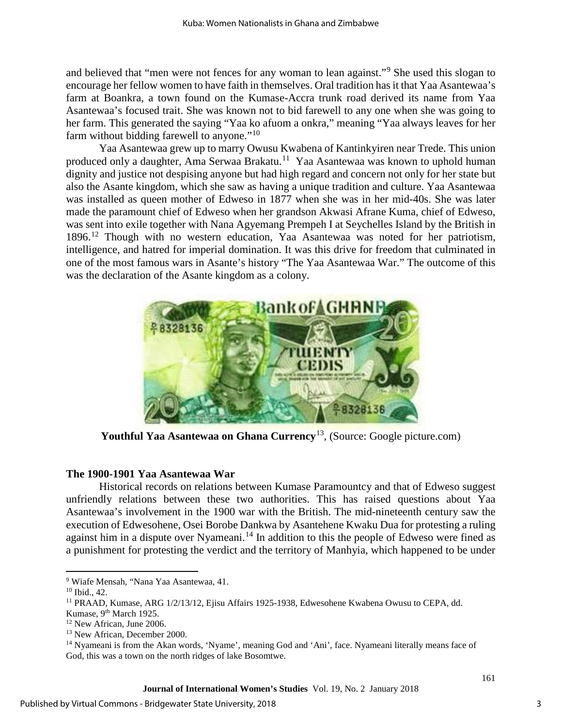and believed that "men were not fences for any woman to lean against."<sup>[9](#page-3-0)</sup> She used this slogan to encourage her fellow women to have faith in themselves. Oral tradition has it that Yaa Asantewaa's farm at Boankra, a town found on the Kumase-Accra trunk road derived its name from Yaa Asantewaa's focused trait. She was known not to bid farewell to any one when she was going to her farm. This generated the saying "Yaa ko afuom a onkra," meaning "Yaa always leaves for her farm without bidding farewell to anyone."<sup>[10](#page-3-1)</sup>

Yaa Asantewaa grew up to marry Owusu Kwabena of Kantinkyiren near Trede. This union produced only a daughter, Ama Serwaa Brakatu.[11](#page-3-2) Yaa Asantewaa was known to uphold human dignity and justice not despising anyone but had high regard and concern not only for her state but also the Asante kingdom, which she saw as having a unique tradition and culture. Yaa Asantewaa was installed as queen mother of Edweso in 1877 when she was in her mid-40s. She was later made the paramount chief of Edweso when her grandson Akwasi Afrane Kuma, chief of Edweso, was sent into exile together with Nana Agyemang Prempeh I at Seychelles Island by the British in 1896.[12](#page-3-3) Though with no western education, Yaa Asantewaa was noted for her patriotism, intelligence, and hatred for imperial domination. It was this drive for freedom that culminated in one of the most famous wars in Asante's history "The Yaa Asantewaa War." The outcome of this was the declaration of the Asante kingdom as a colony.



**Youthful Yaa Asantewaa on Ghana Currency**[13](#page-3-4), (Source: Google picture.com)

# **The 1900-1901 Yaa Asantewaa War**

Historical records on relations between Kumase Paramountcy and that of Edweso suggest unfriendly relations between these two authorities. This has raised questions about Yaa Asantewaa's involvement in the 1900 war with the British. The mid-nineteenth century saw the execution of Edwesohene, Osei Borobe Dankwa by Asantehene Kwaku Dua for protesting a ruling against him in a dispute over Nyameani.<sup>[14](#page-3-5)</sup> In addition to this the people of Edweso were fined as a punishment for protesting the verdict and the territory of Manhyia, which happened to be under

l

<span id="page-3-2"></span><span id="page-3-1"></span>

<span id="page-3-0"></span><sup>&</sup>lt;sup>9</sup> Wiafe Mensah, "Nana Yaa Asantewaa, 41.<br><sup>10</sup> Ibid., 42.<br><sup>11</sup> PRAAD, Kumase, ARG 1/2/13/12, Ejisu Affairs 1925-1938, Edwesohene Kwabena Owusu to CEPA, dd. Kumase, 9<sup>th</sup> March 1925.

<span id="page-3-3"></span><sup>&</sup>lt;sup>12</sup> New African, June 2006.

<sup>13</sup> New African, December 2000.

<span id="page-3-5"></span><span id="page-3-4"></span><sup>&</sup>lt;sup>14</sup> Nyameani is from the Akan words, 'Nyame', meaning God and 'Ani', face. Nyameani literally means face of God, this was a town on the north ridges of lake Bosomtwe.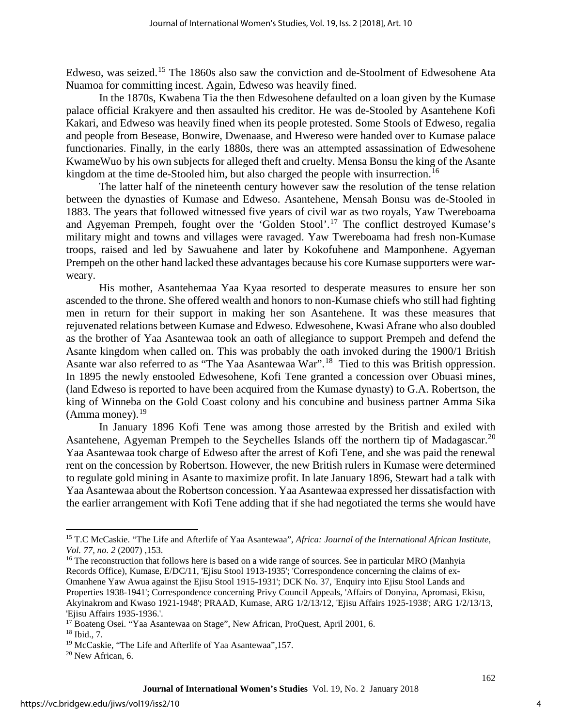Edweso, was seized.<sup>[15](#page-4-0)</sup> The 1860s also saw the conviction and de-Stoolment of Edwesohene Ata Nuamoa for committing incest. Again, Edweso was heavily fined.

In the 1870s, Kwabena Tia the then Edwesohene defaulted on a loan given by the Kumase palace official Krakyere and then assaulted his creditor. He was de-Stooled by Asantehene Kofi Kakari, and Edweso was heavily fined when its people protested. Some Stools of Edweso, regalia and people from Besease, Bonwire, Dwenaase, and Hwereso were handed over to Kumase palace functionaries. Finally, in the early 1880s, there was an attempted assassination of Edwesohene KwameWuo by his own subjects for alleged theft and cruelty. Mensa Bonsu the king of the Asante kingdom at the time de-Stooled him, but also charged the people with insurrection.<sup>16</sup>

The latter half of the nineteenth century however saw the resolution of the tense relation between the dynasties of Kumase and Edweso. Asantehene, Mensah Bonsu was de-Stooled in 1883. The years that followed witnessed five years of civil war as two royals, Yaw Twereboama and Agyeman Prempeh, fought over the 'Golden Stool'.[17](#page-4-2) The conflict destroyed Kumase's military might and towns and villages were ravaged. Yaw Twereboama had fresh non-Kumase troops, raised and led by Sawuahene and later by Kokofuhene and Mamponhene. Agyeman Prempeh on the other hand lacked these advantages because his core Kumase supporters were warweary.

His mother, Asantehemaa Yaa Kyaa resorted to desperate measures to ensure her son ascended to the throne. She offered wealth and honors to non-Kumase chiefs who still had fighting men in return for their support in making her son Asantehene. It was these measures that rejuvenated relations between Kumase and Edweso. Edwesohene, Kwasi Afrane who also doubled as the brother of Yaa Asantewaa took an oath of allegiance to support Prempeh and defend the Asante kingdom when called on. This was probably the oath invoked during the 1900/1 British Asante war also referred to as "The Yaa Asantewaa War".<sup>18</sup> Tied to this was British oppression. In 1895 the newly enstooled Edwesohene, Kofi Tene granted a concession over Obuasi mines, (land Edweso is reported to have been acquired from the Kumase dynasty) to G.A. Robertson, the king of Winneba on the Gold Coast colony and his concubine and business partner Amma Sika  $(Amma money).<sup>19</sup>$ 

In January 1896 Kofi Tene was among those arrested by the British and exiled with Asantehene, Agyeman Prempeh to the Seychelles Islands off the northern tip of Madagascar.<sup>[20](#page-4-5)</sup> Yaa Asantewaa took charge of Edweso after the arrest of Kofi Tene, and she was paid the renewal rent on the concession by Robertson. However, the new British rulers in Kumase were determined to regulate gold mining in Asante to maximize profit. In late January 1896, Stewart had a talk with Yaa Asantewaa about the Robertson concession. Yaa Asantewaa expressed her dissatisfaction with the earlier arrangement with Kofi Tene adding that if she had negotiated the terms she would have

 $\overline{a}$ 

<span id="page-4-0"></span><sup>15</sup> T.C McCaskie. "The Life and Afterlife of Yaa Asantewaa", *Africa: Journal of the International African Institute, Vol. 77, no. 2* (2007) ,153.<br><sup>16</sup> The reconstruction that follows here is based on a wide range of sources. See in particular MRO (Manhyia

<span id="page-4-1"></span>Records Office), Kumase, E/DC/11, 'Ejisu Stool 1913-1935'; 'Correspondence concerning the claims of ex-Omanhene Yaw Awua against the Ejisu Stool 1915-1931'; DCK No. 37, 'Enquiry into Ejisu Stool Lands and Properties 1938-1941'; Correspondence concerning Privy Council Appeals, 'Affairs of Donyina, Apromasi, Ekisu, Akyinakrom and Kwaso 1921-1948'; PRAAD, Kumase, ARG 1/2/13/12, 'Ejisu Affairs 1925-1938'; ARG 1/2/13/13, 'Ejisu Affairs 1935-1936.'.<br><sup>17</sup> Boateng Osei. "Yaa Asantewaa on Stage", New African, ProQuest, April 2001, 6.

<span id="page-4-2"></span>

<span id="page-4-3"></span><sup>&</sup>lt;sup>18</sup> Ibid., 7.<br><sup>19</sup> McCaskie, "The Life and Afterlife of Yaa Asantewaa", 157.<br><sup>20</sup> New African, 6.

<span id="page-4-5"></span><span id="page-4-4"></span>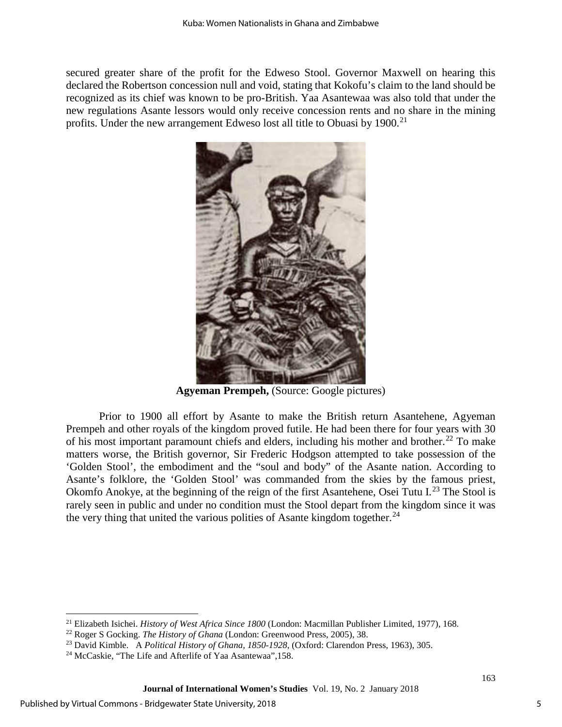secured greater share of the profit for the Edweso Stool. Governor Maxwell on hearing this declared the Robertson concession null and void, stating that Kokofu's claim to the land should be recognized as its chief was known to be pro-British. Yaa Asantewaa was also told that under the new regulations Asante lessors would only receive concession rents and no share in the mining profits. Under the new arrangement Edweso lost all title to Obuasi by  $1900$ <sup>[21](#page-5-0)</sup>



**Agyeman Prempeh,** (Source: Google pictures)

Prior to 1900 all effort by Asante to make the British return Asantehene, Agyeman Prempeh and other royals of the kingdom proved futile. He had been there for four years with 30 of his most important paramount chiefs and elders, including his mother and brother.<sup>[22](#page-5-1)</sup> To make matters worse, the British governor, Sir Frederic Hodgson attempted to take possession of the 'Golden Stool', the embodiment and the "soul and body" of the Asante nation. According to Asante's folklore, the 'Golden Stool' was commanded from the skies by the famous priest, Okomfo Anokye, at the beginning of the reign of the first Asantehene, Osei Tutu I.<sup>[23](#page-5-2)</sup> The Stool is rarely seen in public and under no condition must the Stool depart from the kingdom since it was the very thing that united the various polities of Asante kingdom together.<sup>[24](#page-5-3)</sup>

l

<span id="page-5-0"></span><sup>&</sup>lt;sup>21</sup> Elizabeth Isichei. *History of West Africa Since 1800* (London: Macmillan Publisher Limited, 1977), 168.<br><sup>22</sup> Roger S Gocking. *The History of Ghana* (London: Greenwood Press, 2005), 38.

<span id="page-5-2"></span><span id="page-5-1"></span><sup>&</sup>lt;sup>23</sup> David Kimble. A Political History of Ghana, 1850-1928, (Oxford: Clarendon Press, 1963), 305.<br><sup>24</sup> McCaskie, "The Life and Afterlife of Yaa Asantewaa", 158.

<span id="page-5-3"></span>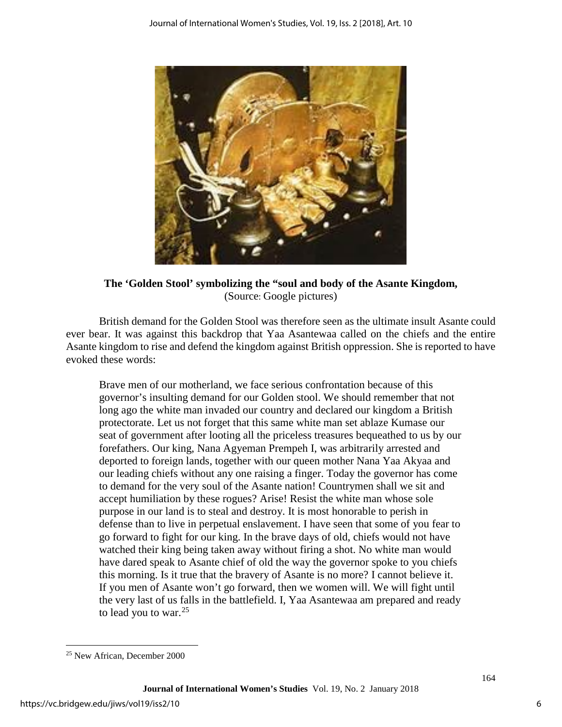

**The 'Golden Stool' symbolizing the "soul and body of the Asante Kingdom,**  (Source: Google pictures)

British demand for the Golden Stool was therefore seen as the ultimate insult Asante could ever bear. It was against this backdrop that Yaa Asantewaa called on the chiefs and the entire Asante kingdom to rise and defend the kingdom against British oppression. She is reported to have evoked these words:

Brave men of our motherland, we face serious confrontation because of this governor's insulting demand for our Golden stool. We should remember that not long ago the white man invaded our country and declared our kingdom a British protectorate. Let us not forget that this same white man set ablaze Kumase our seat of government after looting all the priceless treasures bequeathed to us by our forefathers. Our king, Nana Agyeman Prempeh I, was arbitrarily arrested and deported to foreign lands, together with our queen mother Nana Yaa Akyaa and our leading chiefs without any one raising a finger. Today the governor has come to demand for the very soul of the Asante nation! Countrymen shall we sit and accept humiliation by these rogues? Arise! Resist the white man whose sole purpose in our land is to steal and destroy. It is most honorable to perish in defense than to live in perpetual enslavement. I have seen that some of you fear to go forward to fight for our king. In the brave days of old, chiefs would not have watched their king being taken away without firing a shot. No white man would have dared speak to Asante chief of old the way the governor spoke to you chiefs this morning. Is it true that the bravery of Asante is no more? I cannot believe it. If you men of Asante won't go forward, then we women will. We will fight until the very last of us falls in the battlefield. I, Yaa Asantewaa am prepared and ready to lead you to war.<sup>[25](#page-6-0)</sup>

l

<span id="page-6-0"></span><sup>25</sup> New African, December 2000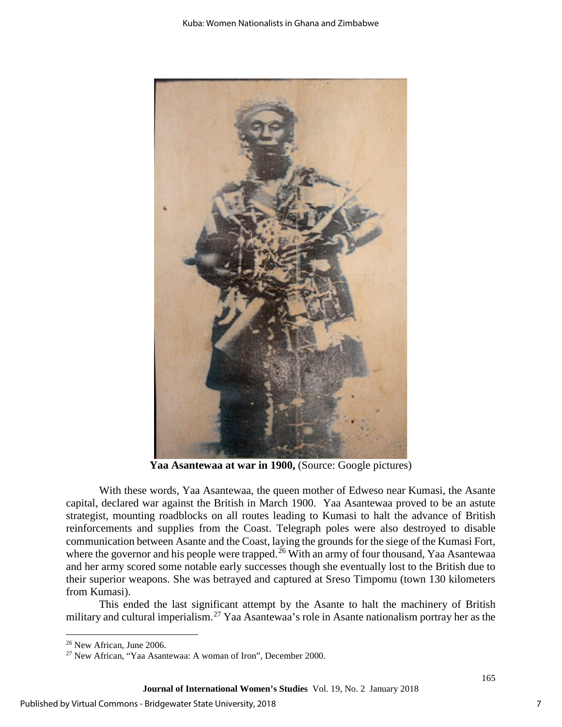

Yaa Asantewaa at war in 1900, (Source: Google pictures)

With these words, Yaa Asantewaa, the queen mother of Edweso near Kumasi, the Asante capital, declared war against the British in March 1900. Yaa Asantewaa proved to be an astute strategist, mounting roadblocks on all routes leading to Kumasi to halt the advance of British reinforcements and supplies from the Coast. Telegraph poles were also destroyed to disable communication between Asante and the Coast, laying the grounds for the siege of the Kumasi Fort, where the governor and his people were trapped.<sup>[26](#page-7-0)</sup> With an army of four thousand, Yaa Asantewaa and her army scored some notable early successes though she eventually lost to the British due to their superior weapons. She was betrayed and captured at Sreso Timpomu (town 130 kilometers from Kumasi).

This ended the last significant attempt by the Asante to halt the machinery of British military and cultural imperialism.<sup>[27](#page-7-1)</sup> Yaa Asantewaa's role in Asante nationalism portray her as the

l

<span id="page-7-1"></span><span id="page-7-0"></span><sup>&</sup>lt;sup>26</sup> New African, June 2006.<br><sup>27</sup> New African, "Yaa Asantewaa: A woman of Iron", December 2000.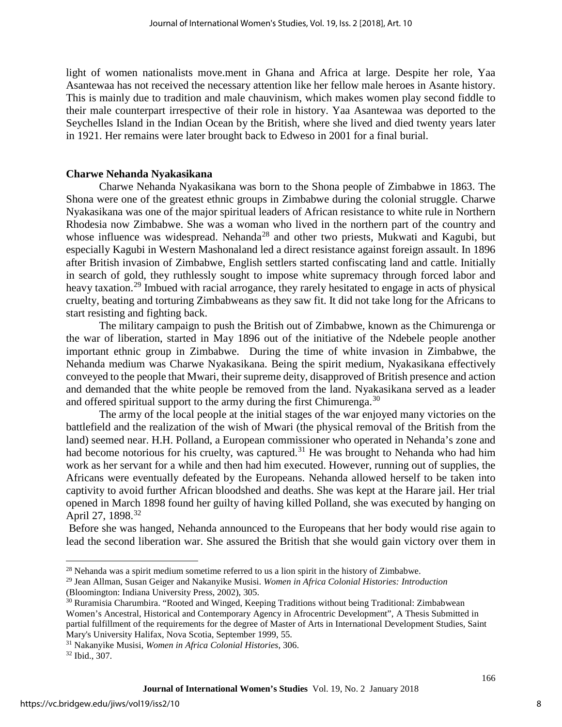light of women nationalists move.ment in Ghana and Africa at large. Despite her role, Yaa Asantewaa has not received the necessary attention like her fellow male heroes in Asante history. This is mainly due to tradition and male chauvinism, which makes women play second fiddle to their male counterpart irrespective of their role in history. Yaa Asantewaa was deported to the Seychelles Island in the Indian Ocean by the British, where she lived and died twenty years later in 1921. Her remains were later brought back to Edweso in 2001 for a final burial.

### **Charwe Nehanda Nyakasikana**

Charwe Nehanda Nyakasikana was born to the Shona people of Zimbabwe in 1863. The Shona were one of the greatest ethnic groups in Zimbabwe during the colonial struggle. Charwe Nyakasikana was one of the major spiritual leaders of African resistance to white rule in Northern Rhodesia now Zimbabwe. She was a woman who lived in the northern part of the country and whose influence was widespread. Nehanda<sup>[28](#page-8-0)</sup> and other two priests, Mukwati and Kagubi, but especially Kagubi in Western Mashonaland led a direct resistance against foreign assault. In 1896 after British invasion of Zimbabwe, English settlers started confiscating land and cattle. Initially in search of gold, they ruthlessly sought to impose white supremacy through forced labor and heavy taxation.<sup>[29](#page-8-1)</sup> Imbued with racial arrogance, they rarely hesitated to engage in acts of physical cruelty, beating and torturing Zimbabweans as they saw fit. It did not take long for the Africans to start resisting and fighting back.

The military campaign to push the British out of Zimbabwe, known as the Chimurenga or the war of liberation, started in May 1896 out of the initiative of the Ndebele people another important ethnic group in Zimbabwe. During the time of white invasion in Zimbabwe, the Nehanda medium was Charwe Nyakasikana. Being the spirit medium, Nyakasikana effectively conveyed to the people that Mwari, their supreme deity, disapproved of British presence and action and demanded that the white people be removed from the land. Nyakasikana served as a leader and offered spiritual support to the army during the first Chimurenga.<sup>[30](#page-8-2)</sup>

The army of the local people at the initial stages of the war enjoyed many victories on the battlefield and the realization of the wish of Mwari (the physical removal of the British from the land) seemed near. H.H. Polland, a European commissioner who operated in Nehanda's zone and had become notorious for his cruelty, was captured.<sup>[31](#page-8-3)</sup> He was brought to Nehanda who had him work as her servant for a while and then had him executed. However, running out of supplies, the Africans were eventually defeated by the Europeans. Nehanda allowed herself to be taken into captivity to avoid further African bloodshed and deaths. She was kept at the Harare jail. Her trial opened in March 1898 found her guilty of having killed Polland, she was executed by hanging on April 27, 1898.<sup>32</sup>

 Before she was hanged, Nehanda announced to the Europeans that her body would rise again to lead the second liberation war. She assured the British that she would gain victory over them in

l

<span id="page-8-0"></span><sup>&</sup>lt;sup>28</sup> Nehanda was a spirit medium sometime referred to us a lion spirit in the history of Zimbabwe.

<span id="page-8-1"></span><sup>29</sup> Jean Allman, Susan Geiger and Nakanyike Musisi. *Women in Africa Colonial Histories: Introduction*  (Bloomington: Indiana University Press, 2002), 305.

<span id="page-8-2"></span><sup>30</sup> Ruramisia Charumbira. "Rooted and Winged, Keeping Traditions without being Traditional: Zimbabwean Women's Ancestral, Historical and Contemporary Agency in Afrocentric Development", A Thesis Submitted in partial fulfillment of the requirements for the degree of Master of Arts in International Development Studies, Saint

<span id="page-8-3"></span>Mary's University Halifax, Nova Scotia, September 1999, 55. 31 Nakanyike Musisi, *Women in Africa Colonial Histories*, 306. 32 Ibid., 307.

<span id="page-8-4"></span>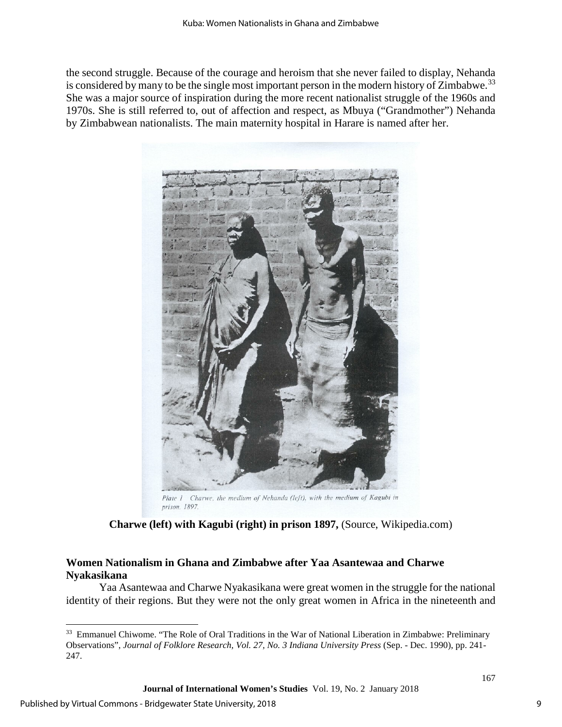the second struggle. Because of the courage and heroism that she never failed to display, Nehanda is considered by many to be the single most important person in the modern history of Zimbabwe.<sup>[33](#page-9-0)</sup> She was a major source of inspiration during the more recent nationalist struggle of the 1960s and 1970s. She is still referred to, out of affection and respect, as Mbuya ("Grandmother") Nehanda by Zimbabwean nationalists. The main maternity hospital in Harare is named after her.



prison. 1897. **Charwe (left) with Kagubi (right) in prison 1897,** (Source, Wikipedia.com)

# **Women Nationalism in Ghana and Zimbabwe after Yaa Asantewaa and Charwe Nyakasikana**

Yaa Asantewaa and Charwe Nyakasikana were great women in the struggle for the national identity of their regions. But they were not the only great women in Africa in the nineteenth and

<span id="page-9-0"></span>l <sup>33</sup> Emmanuel Chiwome. "The Role of Oral Traditions in the War of National Liberation in Zimbabwe: Preliminary Observations", *Journal of Folklore Research, Vol. 27, No. 3 Indiana University Press* (Sep. - Dec. 1990), pp. 241- 247.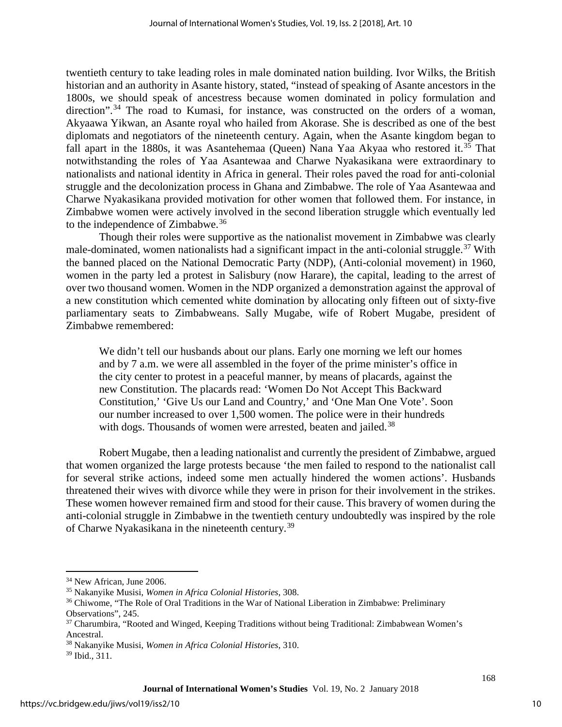twentieth century to take leading roles in male dominated nation building. Ivor Wilks, the British historian and an authority in Asante history, stated, "instead of speaking of Asante ancestors in the 1800s, we should speak of ancestress because women dominated in policy formulation and direction".<sup>[34](#page-10-0)</sup> The road to Kumasi, for instance, was constructed on the orders of a woman, Akyaawa Yikwan, an Asante royal who hailed from Akorase. She is described as one of the best diplomats and negotiators of the nineteenth century. Again, when the Asante kingdom began to fall apart in the 1880s, it was Asantehemaa (Queen) Nana Yaa Akyaa who restored it.<sup>[35](#page-10-1)</sup> That notwithstanding the roles of Yaa Asantewaa and Charwe Nyakasikana were extraordinary to nationalists and national identity in Africa in general. Their roles paved the road for anti-colonial struggle and the decolonization process in Ghana and Zimbabwe. The role of Yaa Asantewaa and Charwe Nyakasikana provided motivation for other women that followed them. For instance, in Zimbabwe women were actively involved in the second liberation struggle which eventually led to the independence of Zimbabwe.<sup>36</sup>

Though their roles were supportive as the nationalist movement in Zimbabwe was clearly male-dominated, women nationalists had a significant impact in the anti-colonial struggle.<sup>[37](#page-10-3)</sup> With the banned placed on the National Democratic Party (NDP), (Anti-colonial movement) in 1960, women in the party led a protest in Salisbury (now Harare), the capital, leading to the arrest of over two thousand women. Women in the NDP organized a demonstration against the approval of a new constitution which cemented white domination by allocating only fifteen out of sixty-five parliamentary seats to Zimbabweans. Sally Mugabe, wife of Robert Mugabe, president of Zimbabwe remembered:

We didn't tell our husbands about our plans. Early one morning we left our homes and by 7 a.m. we were all assembled in the foyer of the prime minister's office in the city center to protest in a peaceful manner, by means of placards, against the new Constitution. The placards read: 'Women Do Not Accept This Backward Constitution,' 'Give Us our Land and Country,' and 'One Man One Vote'. Soon our number increased to over 1,500 women. The police were in their hundreds with dogs. Thousands of women were arrested, beaten and jailed.<sup>38</sup>

Robert Mugabe, then a leading nationalist and currently the president of Zimbabwe, argued that women organized the large protests because 'the men failed to respond to the nationalist call for several strike actions, indeed some men actually hindered the women actions'. Husbands threatened their wives with divorce while they were in prison for their involvement in the strikes. These women however remained firm and stood for their cause. This bravery of women during the anti-colonial struggle in Zimbabwe in the twentieth century undoubtedly was inspired by the role of Charwe Nyakasikana in the nineteenth century.[39](#page-10-5)

l

<span id="page-10-1"></span><span id="page-10-0"></span><sup>&</sup>lt;sup>34</sup> New African, June 2006.<br><sup>35</sup> Nakanyike Musisi, *Women in Africa Colonial Histories*, 308.<br><sup>36</sup> Chiwome, "The Role of Oral Traditions in the War of National Liberation in Zimbabwe: Preliminary

<span id="page-10-3"></span><span id="page-10-2"></span>Observations", 245.<br><sup>37</sup> Charumbira, "Rooted and Winged, Keeping Traditions without being Traditional: Zimbabwean Women's Ancestral. 38 Nakanyike Musisi, *Women in Africa Colonial Histories*, 310. 39 Ibid., 311.

<span id="page-10-5"></span><span id="page-10-4"></span>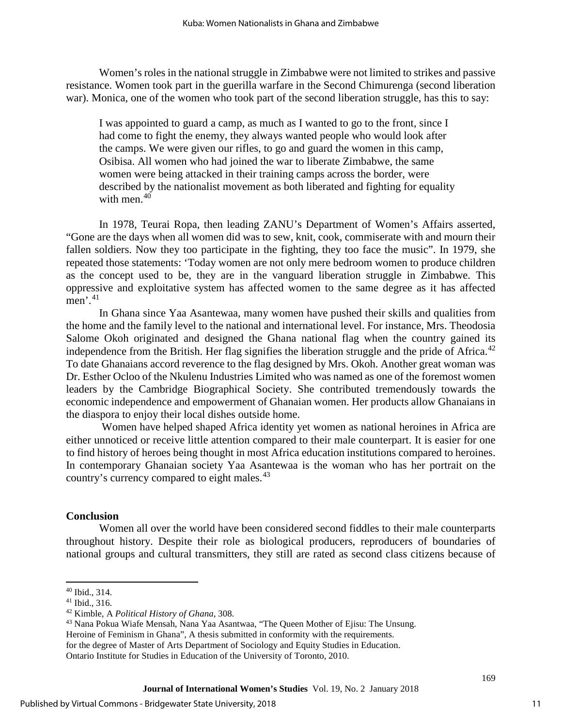Women's roles in the national struggle in Zimbabwe were not limited to strikes and passive resistance. Women took part in the guerilla warfare in the Second Chimurenga (second liberation war). Monica, one of the women who took part of the second liberation struggle, has this to say:

I was appointed to guard a camp, as much as I wanted to go to the front, since I had come to fight the enemy, they always wanted people who would look after the camps. We were given our rifles, to go and guard the women in this camp, Osibisa. All women who had joined the war to liberate Zimbabwe, the same women were being attacked in their training camps across the border, were described by the nationalist movement as both liberated and fighting for equality with men.<sup>40</sup>

In 1978, Teurai Ropa, then leading ZANU's Department of Women's Affairs asserted, "Gone are the days when all women did was to sew, knit, cook, commiserate with and mourn their fallen soldiers. Now they too participate in the fighting, they too face the music". In 1979, she repeated those statements: 'Today women are not only mere bedroom women to produce children as the concept used to be, they are in the vanguard liberation struggle in Zimbabwe. This oppressive and exploitative system has affected women to the same degree as it has affected men'. [41](#page-11-1)

In Ghana since Yaa Asantewaa, many women have pushed their skills and qualities from the home and the family level to the national and international level. For instance, Mrs. Theodosia Salome Okoh originated and designed the Ghana national flag when the country gained its independence from the British. Her flag signifies the liberation struggle and the pride of Africa.<sup>[42](#page-11-2)</sup> To date Ghanaians accord reverence to the flag designed by Mrs. Okoh. Another great woman was Dr. Esther Ocloo of the Nkulenu Industries Limited who was named as one of the foremost women leaders by the Cambridge Biographical Society. She contributed tremendously towards the economic independence and empowerment of Ghanaian women. Her products allow Ghanaians in the diaspora to enjoy their local dishes outside home.

Women have helped shaped Africa identity yet women as national heroines in Africa are either unnoticed or receive little attention compared to their male counterpart. It is easier for one to find history of heroes being thought in most Africa education institutions compared to heroines. In contemporary Ghanaian society Yaa Asantewaa is the woman who has her portrait on the country's currency compared to eight males.<sup>[43](#page-11-3)</sup>

#### **Conclusion**

Women all over the world have been considered second fiddles to their male counterparts throughout history. Despite their role as biological producers, reproducers of boundaries of national groups and cultural transmitters, they still are rated as second class citizens because of

l

<span id="page-11-2"></span>

<span id="page-11-1"></span><span id="page-11-0"></span><sup>&</sup>lt;sup>40</sup> Ibid., 314.<br><sup>41</sup> Ibid., 316.<br><sup>42</sup> Kimble, A *Political History of Ghana*, 308.<br><sup>43</sup> Nana Pokua Wiafe Mensah, Nana Yaa Asantwaa, "The Queen Mother of Ejisu: The Unsung.

Heroine of Feminism in Ghana", A thesis submitted in conformity with the requirements.

<span id="page-11-3"></span>for the degree of Master of Arts Department of Sociology and Equity Studies in Education.

Ontario Institute for Studies in Education of the University of Toronto, 2010.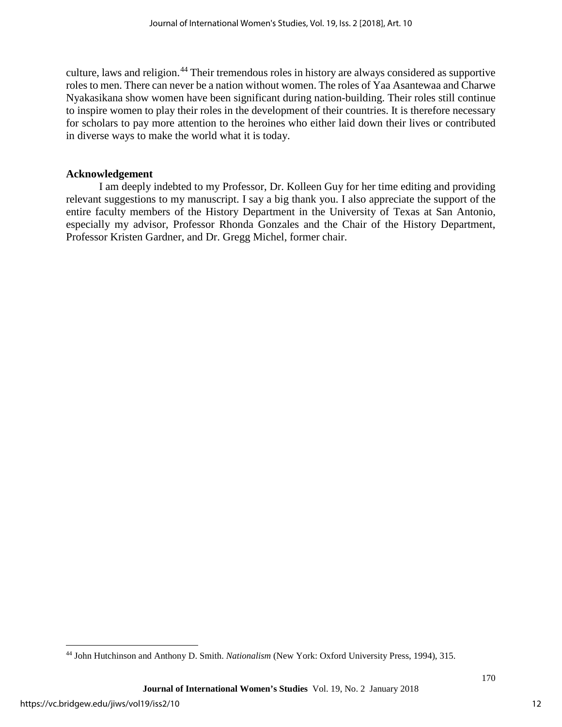culture, laws and religion.<sup>[44](#page-12-0)</sup> Their tremendous roles in history are always considered as supportive roles to men. There can never be a nation without women. The roles of Yaa Asantewaa and Charwe Nyakasikana show women have been significant during nation-building. Their roles still continue to inspire women to play their roles in the development of their countries. It is therefore necessary for scholars to pay more attention to the heroines who either laid down their lives or contributed in diverse ways to make the world what it is today.

# **Acknowledgement**

I am deeply indebted to my Professor, Dr. Kolleen Guy for her time editing and providing relevant suggestions to my manuscript. I say a big thank you. I also appreciate the support of the entire faculty members of the History Department in the University of Texas at San Antonio, especially my advisor, Professor Rhonda Gonzales and the Chair of the History Department, Professor Kristen Gardner, and Dr. Gregg Michel, former chair.

l

<span id="page-12-0"></span><sup>44</sup> John Hutchinson and Anthony D. Smith. *Nationalism* (New York: Oxford University Press, 1994), 315.